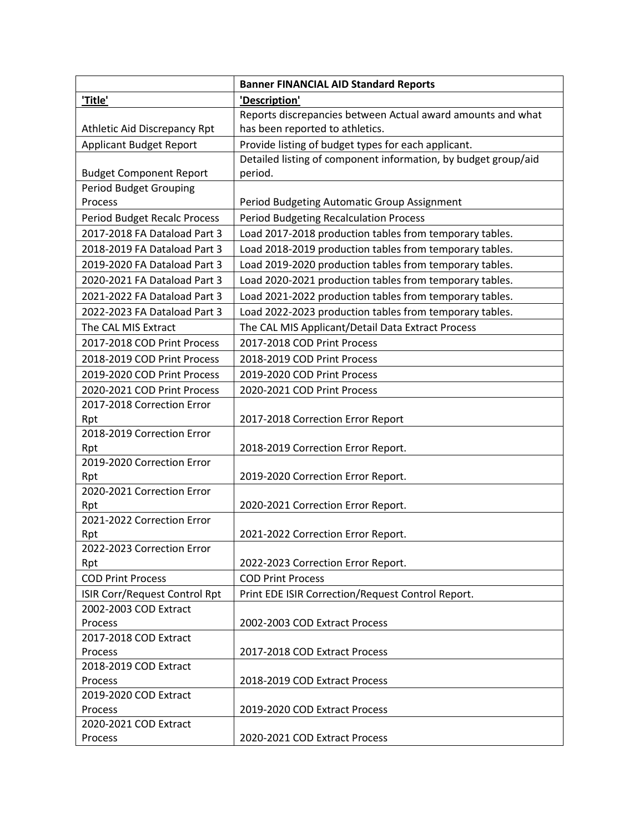|                                      | <b>Banner FINANCIAL AID Standard Reports</b>                   |
|--------------------------------------|----------------------------------------------------------------|
| 'Title'                              | 'Description'                                                  |
|                                      | Reports discrepancies between Actual award amounts and what    |
| Athletic Aid Discrepancy Rpt         | has been reported to athletics.                                |
| <b>Applicant Budget Report</b>       | Provide listing of budget types for each applicant.            |
|                                      | Detailed listing of component information, by budget group/aid |
| <b>Budget Component Report</b>       | period.                                                        |
| <b>Period Budget Grouping</b>        |                                                                |
| Process                              | Period Budgeting Automatic Group Assignment                    |
| <b>Period Budget Recalc Process</b>  | <b>Period Budgeting Recalculation Process</b>                  |
| 2017-2018 FA Dataload Part 3         | Load 2017-2018 production tables from temporary tables.        |
| 2018-2019 FA Dataload Part 3         | Load 2018-2019 production tables from temporary tables.        |
| 2019-2020 FA Dataload Part 3         | Load 2019-2020 production tables from temporary tables.        |
| 2020-2021 FA Dataload Part 3         | Load 2020-2021 production tables from temporary tables.        |
| 2021-2022 FA Dataload Part 3         | Load 2021-2022 production tables from temporary tables.        |
| 2022-2023 FA Dataload Part 3         | Load 2022-2023 production tables from temporary tables.        |
| The CAL MIS Extract                  | The CAL MIS Applicant/Detail Data Extract Process              |
| 2017-2018 COD Print Process          | 2017-2018 COD Print Process                                    |
| 2018-2019 COD Print Process          | 2018-2019 COD Print Process                                    |
| 2019-2020 COD Print Process          | 2019-2020 COD Print Process                                    |
| 2020-2021 COD Print Process          | 2020-2021 COD Print Process                                    |
| 2017-2018 Correction Error           |                                                                |
| Rpt                                  | 2017-2018 Correction Error Report                              |
| 2018-2019 Correction Error           |                                                                |
| Rpt                                  | 2018-2019 Correction Error Report.                             |
| 2019-2020 Correction Error           |                                                                |
| Rpt                                  | 2019-2020 Correction Error Report.                             |
| 2020-2021 Correction Error           |                                                                |
| Rpt                                  | 2020-2021 Correction Error Report.                             |
| 2021-2022 Correction Error           |                                                                |
| Rpt                                  | 2021-2022 Correction Error Report.                             |
| 2022-2023 Correction Error           |                                                                |
| Rpt                                  | 2022-2023 Correction Error Report.                             |
| <b>COD Print Process</b>             | <b>COD Print Process</b>                                       |
| <b>ISIR Corr/Request Control Rpt</b> | Print EDE ISIR Correction/Request Control Report.              |
| 2002-2003 COD Extract                |                                                                |
| Process                              | 2002-2003 COD Extract Process                                  |
| 2017-2018 COD Extract                |                                                                |
| Process                              | 2017-2018 COD Extract Process                                  |
| 2018-2019 COD Extract                |                                                                |
| Process                              | 2018-2019 COD Extract Process                                  |
| 2019-2020 COD Extract                |                                                                |
| Process                              | 2019-2020 COD Extract Process                                  |
| 2020-2021 COD Extract                |                                                                |
| Process                              | 2020-2021 COD Extract Process                                  |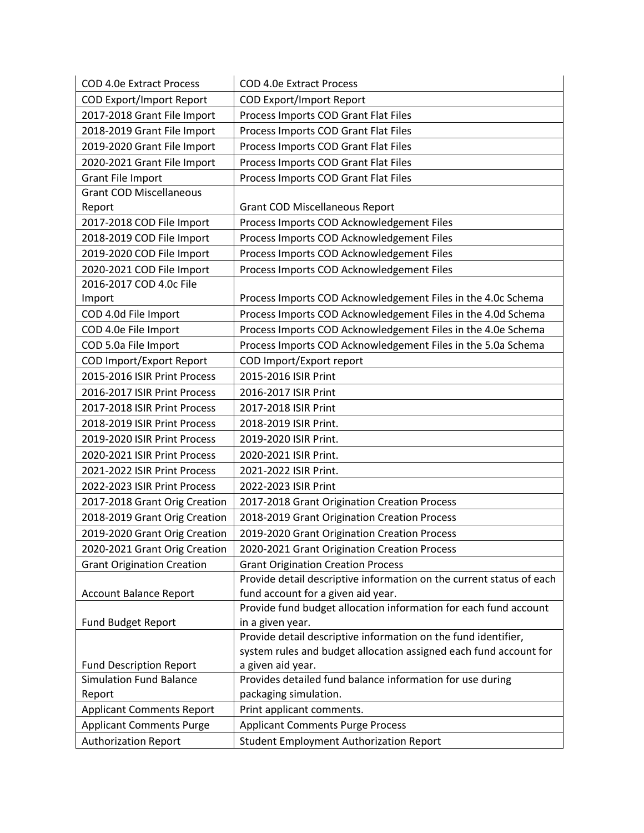| <b>COD 4.0e Extract Process</b>          | <b>COD 4.0e Extract Process</b>                                                    |
|------------------------------------------|------------------------------------------------------------------------------------|
| <b>COD Export/Import Report</b>          | <b>COD Export/Import Report</b>                                                    |
| 2017-2018 Grant File Import              | Process Imports COD Grant Flat Files                                               |
| 2018-2019 Grant File Import              | Process Imports COD Grant Flat Files                                               |
| 2019-2020 Grant File Import              | Process Imports COD Grant Flat Files                                               |
| 2020-2021 Grant File Import              | Process Imports COD Grant Flat Files                                               |
| Grant File Import                        | Process Imports COD Grant Flat Files                                               |
| <b>Grant COD Miscellaneous</b>           |                                                                                    |
| Report                                   | <b>Grant COD Miscellaneous Report</b>                                              |
| 2017-2018 COD File Import                | Process Imports COD Acknowledgement Files                                          |
| 2018-2019 COD File Import                | Process Imports COD Acknowledgement Files                                          |
| 2019-2020 COD File Import                | Process Imports COD Acknowledgement Files                                          |
| 2020-2021 COD File Import                | Process Imports COD Acknowledgement Files                                          |
| 2016-2017 COD 4.0c File                  |                                                                                    |
| Import                                   | Process Imports COD Acknowledgement Files in the 4.0c Schema                       |
| COD 4.0d File Import                     | Process Imports COD Acknowledgement Files in the 4.0d Schema                       |
| COD 4.0e File Import                     | Process Imports COD Acknowledgement Files in the 4.0e Schema                       |
| COD 5.0a File Import                     | Process Imports COD Acknowledgement Files in the 5.0a Schema                       |
| COD Import/Export Report                 | COD Import/Export report                                                           |
| 2015-2016 ISIR Print Process             | 2015-2016 ISIR Print                                                               |
| 2016-2017 ISIR Print Process             | 2016-2017 ISIR Print                                                               |
| 2017-2018 ISIR Print Process             | 2017-2018 ISIR Print                                                               |
| 2018-2019 ISIR Print Process             | 2018-2019 ISIR Print.                                                              |
| 2019-2020 ISIR Print Process             | 2019-2020 ISIR Print.                                                              |
| 2020-2021 ISIR Print Process             | 2020-2021 ISIR Print.                                                              |
| 2021-2022 ISIR Print Process             | 2021-2022 ISIR Print.                                                              |
| 2022-2023 ISIR Print Process             | 2022-2023 ISIR Print                                                               |
| 2017-2018 Grant Orig Creation            | 2017-2018 Grant Origination Creation Process                                       |
| 2018-2019 Grant Orig Creation            | 2018-2019 Grant Origination Creation Process                                       |
| 2019-2020 Grant Orig Creation            | 2019-2020 Grant Origination Creation Process                                       |
| 2020-2021 Grant Orig Creation            | 2020-2021 Grant Origination Creation Process                                       |
| <b>Grant Origination Creation</b>        | <b>Grant Origination Creation Process</b>                                          |
|                                          | Provide detail descriptive information on the current status of each               |
| <b>Account Balance Report</b>            | fund account for a given aid year.                                                 |
|                                          | Provide fund budget allocation information for each fund account                   |
| Fund Budget Report                       | in a given year.                                                                   |
|                                          | Provide detail descriptive information on the fund identifier,                     |
|                                          | system rules and budget allocation assigned each fund account for                  |
| <b>Fund Description Report</b>           | a given aid year.                                                                  |
| <b>Simulation Fund Balance</b><br>Report | Provides detailed fund balance information for use during<br>packaging simulation. |
| <b>Applicant Comments Report</b>         | Print applicant comments.                                                          |
| <b>Applicant Comments Purge</b>          | <b>Applicant Comments Purge Process</b>                                            |
|                                          |                                                                                    |
| <b>Authorization Report</b>              | <b>Student Employment Authorization Report</b>                                     |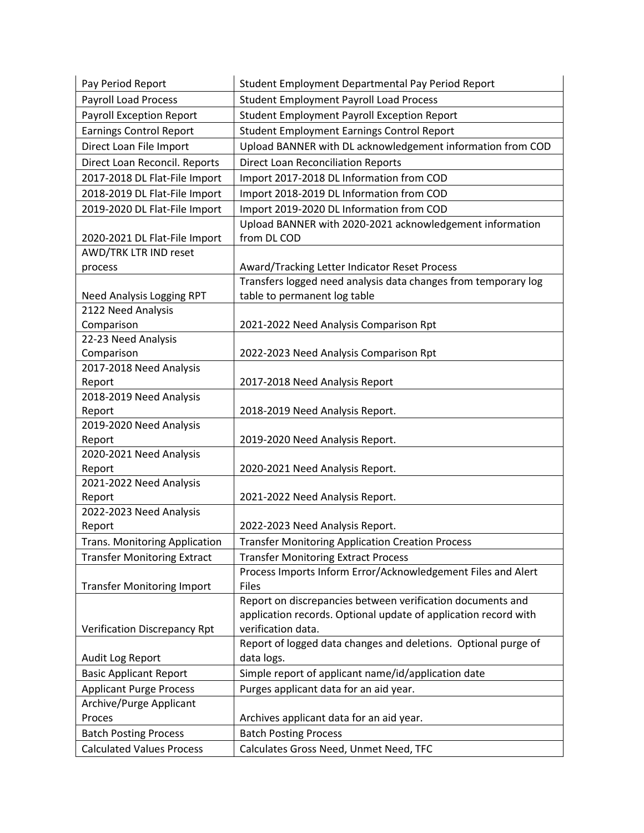| Pay Period Report                    | Student Employment Departmental Pay Period Report               |
|--------------------------------------|-----------------------------------------------------------------|
| <b>Payroll Load Process</b>          | <b>Student Employment Payroll Load Process</b>                  |
| <b>Payroll Exception Report</b>      | <b>Student Employment Payroll Exception Report</b>              |
| <b>Earnings Control Report</b>       | <b>Student Employment Earnings Control Report</b>               |
| Direct Loan File Import              | Upload BANNER with DL acknowledgement information from COD      |
| Direct Loan Reconcil. Reports        | <b>Direct Loan Reconciliation Reports</b>                       |
| 2017-2018 DL Flat-File Import        | Import 2017-2018 DL Information from COD                        |
| 2018-2019 DL Flat-File Import        | Import 2018-2019 DL Information from COD                        |
| 2019-2020 DL Flat-File Import        | Import 2019-2020 DL Information from COD                        |
|                                      | Upload BANNER with 2020-2021 acknowledgement information        |
| 2020-2021 DL Flat-File Import        | from DL COD                                                     |
| AWD/TRK LTR IND reset                |                                                                 |
| process                              | Award/Tracking Letter Indicator Reset Process                   |
|                                      | Transfers logged need analysis data changes from temporary log  |
| Need Analysis Logging RPT            | table to permanent log table                                    |
| 2122 Need Analysis                   |                                                                 |
| Comparison                           | 2021-2022 Need Analysis Comparison Rpt                          |
| 22-23 Need Analysis                  |                                                                 |
| Comparison                           | 2022-2023 Need Analysis Comparison Rpt                          |
| 2017-2018 Need Analysis              |                                                                 |
| Report                               | 2017-2018 Need Analysis Report                                  |
| 2018-2019 Need Analysis              |                                                                 |
| Report                               | 2018-2019 Need Analysis Report.                                 |
| 2019-2020 Need Analysis              |                                                                 |
| Report                               | 2019-2020 Need Analysis Report.                                 |
| 2020-2021 Need Analysis<br>Report    | 2020-2021 Need Analysis Report.                                 |
| 2021-2022 Need Analysis              |                                                                 |
| Report                               | 2021-2022 Need Analysis Report.                                 |
| 2022-2023 Need Analysis              |                                                                 |
| Report                               | 2022-2023 Need Analysis Report.                                 |
| <b>Trans. Monitoring Application</b> | <b>Transfer Monitoring Application Creation Process</b>         |
| <b>Transfer Monitoring Extract</b>   | <b>Transfer Monitoring Extract Process</b>                      |
|                                      | Process Imports Inform Error/Acknowledgement Files and Alert    |
| <b>Transfer Monitoring Import</b>    | <b>Files</b>                                                    |
|                                      | Report on discrepancies between verification documents and      |
|                                      | application records. Optional update of application record with |
| <b>Verification Discrepancy Rpt</b>  | verification data.                                              |
|                                      | Report of logged data changes and deletions. Optional purge of  |
| Audit Log Report                     | data logs.                                                      |
| <b>Basic Applicant Report</b>        | Simple report of applicant name/id/application date             |
| <b>Applicant Purge Process</b>       | Purges applicant data for an aid year.                          |
| Archive/Purge Applicant              |                                                                 |
| Proces                               | Archives applicant data for an aid year.                        |
| <b>Batch Posting Process</b>         | <b>Batch Posting Process</b>                                    |
| <b>Calculated Values Process</b>     | Calculates Gross Need, Unmet Need, TFC                          |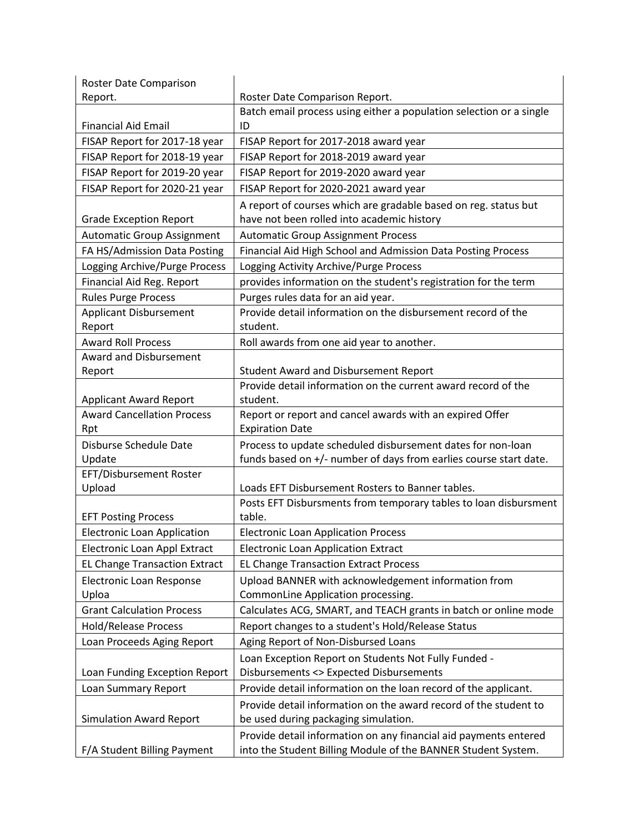| Roster Date Comparison               |                                                                     |
|--------------------------------------|---------------------------------------------------------------------|
| Report.                              | Roster Date Comparison Report.                                      |
|                                      | Batch email process using either a population selection or a single |
| <b>Financial Aid Email</b>           | ID                                                                  |
| FISAP Report for 2017-18 year        | FISAP Report for 2017-2018 award year                               |
| FISAP Report for 2018-19 year        | FISAP Report for 2018-2019 award year                               |
| FISAP Report for 2019-20 year        | FISAP Report for 2019-2020 award year                               |
| FISAP Report for 2020-21 year        | FISAP Report for 2020-2021 award year                               |
|                                      | A report of courses which are gradable based on reg. status but     |
| <b>Grade Exception Report</b>        | have not been rolled into academic history                          |
| <b>Automatic Group Assignment</b>    | <b>Automatic Group Assignment Process</b>                           |
| FA HS/Admission Data Posting         | Financial Aid High School and Admission Data Posting Process        |
| Logging Archive/Purge Process        | Logging Activity Archive/Purge Process                              |
| Financial Aid Reg. Report            | provides information on the student's registration for the term     |
| <b>Rules Purge Process</b>           | Purges rules data for an aid year.                                  |
| <b>Applicant Disbursement</b>        | Provide detail information on the disbursement record of the        |
| Report                               | student.                                                            |
| <b>Award Roll Process</b>            | Roll awards from one aid year to another.                           |
| Award and Disbursement               |                                                                     |
| Report                               | <b>Student Award and Disbursement Report</b>                        |
|                                      | Provide detail information on the current award record of the       |
| <b>Applicant Award Report</b>        | student.                                                            |
| <b>Award Cancellation Process</b>    | Report or report and cancel awards with an expired Offer            |
| Rpt                                  | <b>Expiration Date</b>                                              |
| Disburse Schedule Date               | Process to update scheduled disbursement dates for non-loan         |
| Update<br>EFT/Disbursement Roster    | funds based on +/- number of days from earlies course start date.   |
| Upload                               | Loads EFT Disbursement Rosters to Banner tables.                    |
|                                      | Posts EFT Disbursments from temporary tables to loan disbursment    |
| <b>EFT Posting Process</b>           | table.                                                              |
| <b>Electronic Loan Application</b>   | <b>Electronic Loan Application Process</b>                          |
| Electronic Loan Appl Extract         | <b>Electronic Loan Application Extract</b>                          |
| <b>EL Change Transaction Extract</b> | <b>EL Change Transaction Extract Process</b>                        |
| <b>Electronic Loan Response</b>      | Upload BANNER with acknowledgement information from                 |
| Uploa                                | CommonLine Application processing.                                  |
| <b>Grant Calculation Process</b>     | Calculates ACG, SMART, and TEACH grants in batch or online mode     |
| <b>Hold/Release Process</b>          | Report changes to a student's Hold/Release Status                   |
| Loan Proceeds Aging Report           | Aging Report of Non-Disbursed Loans                                 |
|                                      | Loan Exception Report on Students Not Fully Funded -                |
| Loan Funding Exception Report        | Disbursements <> Expected Disbursements                             |
| Loan Summary Report                  | Provide detail information on the loan record of the applicant.     |
|                                      | Provide detail information on the award record of the student to    |
| <b>Simulation Award Report</b>       | be used during packaging simulation.                                |
|                                      | Provide detail information on any financial aid payments entered    |
| F/A Student Billing Payment          | into the Student Billing Module of the BANNER Student System.       |